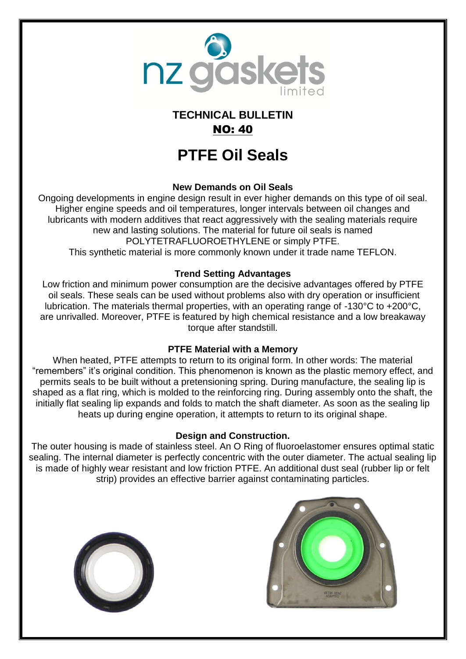

## **TECHNICAL BULLETIN** NO: 40

# **PTFE Oil Seals**

### **New Demands on Oil Seals**

Ongoing developments in engine design result in ever higher demands on this type of oil seal. Higher engine speeds and oil temperatures, longer intervals between oil changes and lubricants with modern additives that react aggressively with the sealing materials require new and lasting solutions. The material for future oil seals is named POLYTETRAFLUOROETHYLENE or simply PTFE. This synthetic material is more commonly known under it trade name TEFLON.

### **Trend Setting Advantages**

Low friction and minimum power consumption are the decisive advantages offered by PTFE oil seals. These seals can be used without problems also with dry operation or insufficient lubrication. The materials thermal properties, with an operating range of -130°C to +200°C, are unrivalled. Moreover, PTFE is featured by high chemical resistance and a low breakaway torque after standstill.

### **PTFE Material with a Memory**

When heated, PTFE attempts to return to its original form. In other words: The material "remembers" it's original condition. This phenomenon is known as the plastic memory effect, and permits seals to be built without a pretensioning spring. During manufacture, the sealing lip is shaped as a flat ring, which is molded to the reinforcing ring. During assembly onto the shaft, the initially flat sealing lip expands and folds to match the shaft diameter. As soon as the sealing lip heats up during engine operation, it attempts to return to its original shape.

### **Design and Construction.**

The outer housing is made of stainless steel. An O Ring of fluoroelastomer ensures optimal static sealing. The internal diameter is perfectly concentric with the outer diameter. The actual sealing lip is made of highly wear resistant and low friction PTFE. An additional dust seal (rubber lip or felt strip) provides an effective barrier against contaminating particles.